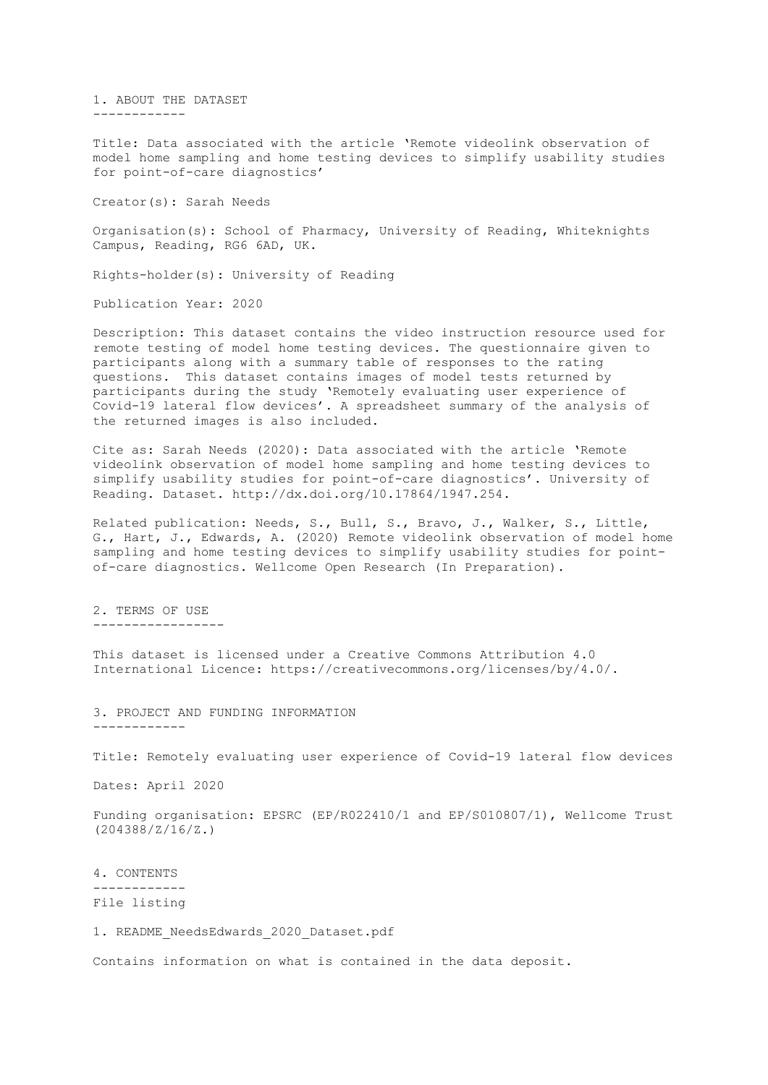1. ABOUT THE DATASET ------------

Title: Data associated with the article 'Remote videolink observation of model home sampling and home testing devices to simplify usability studies for point-of-care diagnostics'

Creator(s): Sarah Needs

Organisation(s): School of Pharmacy, University of Reading, Whiteknights Campus, Reading, RG6 6AD, UK.

Rights-holder(s): University of Reading

Publication Year: 2020

Description: This dataset contains the video instruction resource used for remote testing of model home testing devices. The questionnaire given to participants along with a summary table of responses to the rating questions. This dataset contains images of model tests returned by participants during the study 'Remotely evaluating user experience of Covid-19 lateral flow devices'. A spreadsheet summary of the analysis of the returned images is also included.

Cite as: Sarah Needs (2020): Data associated with the article 'Remote videolink observation of model home sampling and home testing devices to simplify usability studies for point-of-care diagnostics'. University of Reading. Dataset. http://dx.doi.org/10.17864/1947.254.

Related publication: Needs, S., Bull, S., Bravo, J., Walker, S., Little, G., Hart, J., Edwards, A. (2020) Remote videolink observation of model home sampling and home testing devices to simplify usability studies for pointof-care diagnostics. Wellcome Open Research (In Preparation).

2. TERMS OF USE -----------------

This dataset is licensed under a Creative Commons Attribution 4.0 International Licence: https://creativecommons.org/licenses/by/4.0/.

3. PROJECT AND FUNDING INFORMATION ------------

Title: Remotely evaluating user experience of Covid-19 lateral flow devices

Dates: April 2020

Funding organisation: EPSRC (EP/R022410/1 and EP/S010807/1), Wellcome Trust (204388/Z/16/Z.)

4. CONTENTS

------------

File listing

1. README\_NeedsEdwards\_2020\_Dataset.pdf

Contains information on what is contained in the data deposit.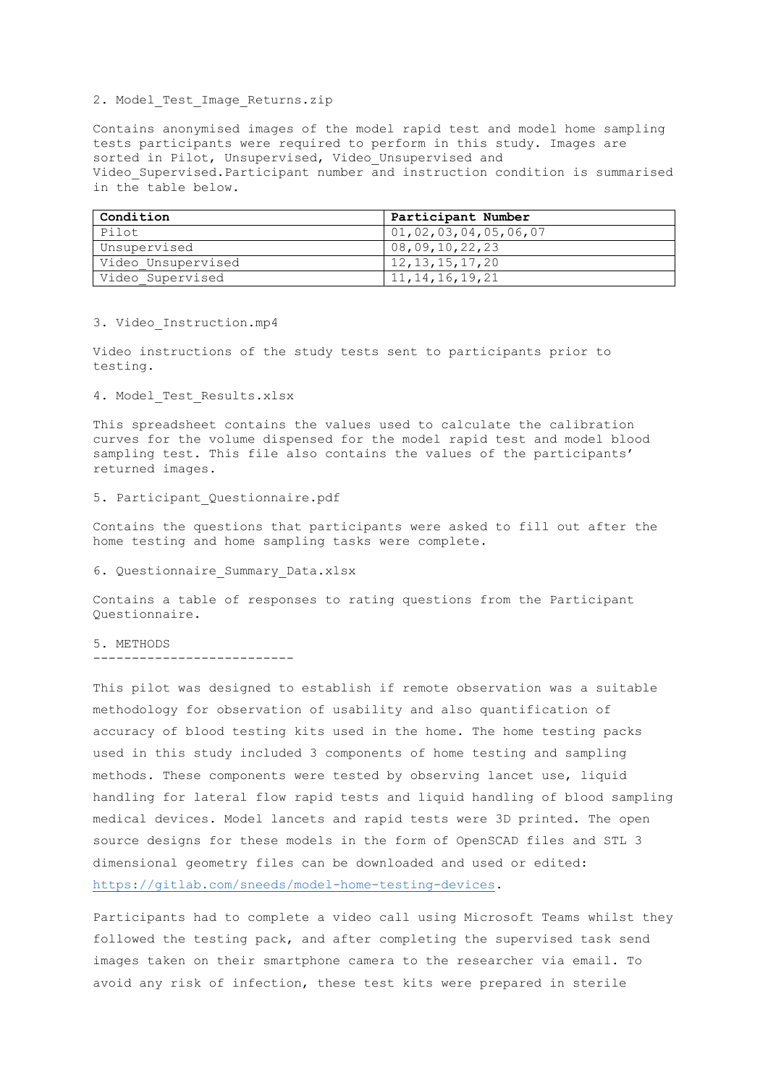# 2. Model Test Image Returns.zip

Contains anonymised images of the model rapid test and model home sampling tests participants were required to perform in this study. Images are sorted in Pilot, Unsupervised, Video Unsupervised and Video\_Supervised.Participant number and instruction condition is summarised in the table below.

| Condition          | Participant Number   |
|--------------------|----------------------|
| Pilot.             | 01,02,03,04,05,06,07 |
| Unsupervised       | 08,09,10,22,23       |
| Video Unsupervised | 12, 13, 15, 17, 20   |
| Video Supervised   | 11, 14, 16, 19, 21   |

# 3. Video\_Instruction.mp4

Video instructions of the study tests sent to participants prior to testing.

# 4. Model Test Results.xlsx

This spreadsheet contains the values used to calculate the calibration curves for the volume dispensed for the model rapid test and model blood sampling test. This file also contains the values of the participants' returned images.

#### 5. Participant\_Questionnaire.pdf

Contains the questions that participants were asked to fill out after the home testing and home sampling tasks were complete.

# 6. Questionnaire\_Summary\_Data.xlsx

Contains a table of responses to rating questions from the Participant Questionnaire.

5. METHODS

--------------------------

This pilot was designed to establish if remote observation was a suitable methodology for observation of usability and also quantification of accuracy of blood testing kits used in the home. The home testing packs used in this study included 3 components of home testing and sampling methods. These components were tested by observing lancet use, liquid handling for lateral flow rapid tests and liquid handling of blood sampling medical devices. Model lancets and rapid tests were 3D printed. The open source designs for these models in the form of OpenSCAD files and STL 3 dimensional geometry files can be downloaded and used or edited: [https://gitlab.com/sneeds/model-home-testing-devices.](https://gitlab.com/sneeds/model-home-testing-devices)

Participants had to complete a video call using Microsoft Teams whilst they followed the testing pack, and after completing the supervised task send images taken on their smartphone camera to the researcher via email. To avoid any risk of infection, these test kits were prepared in sterile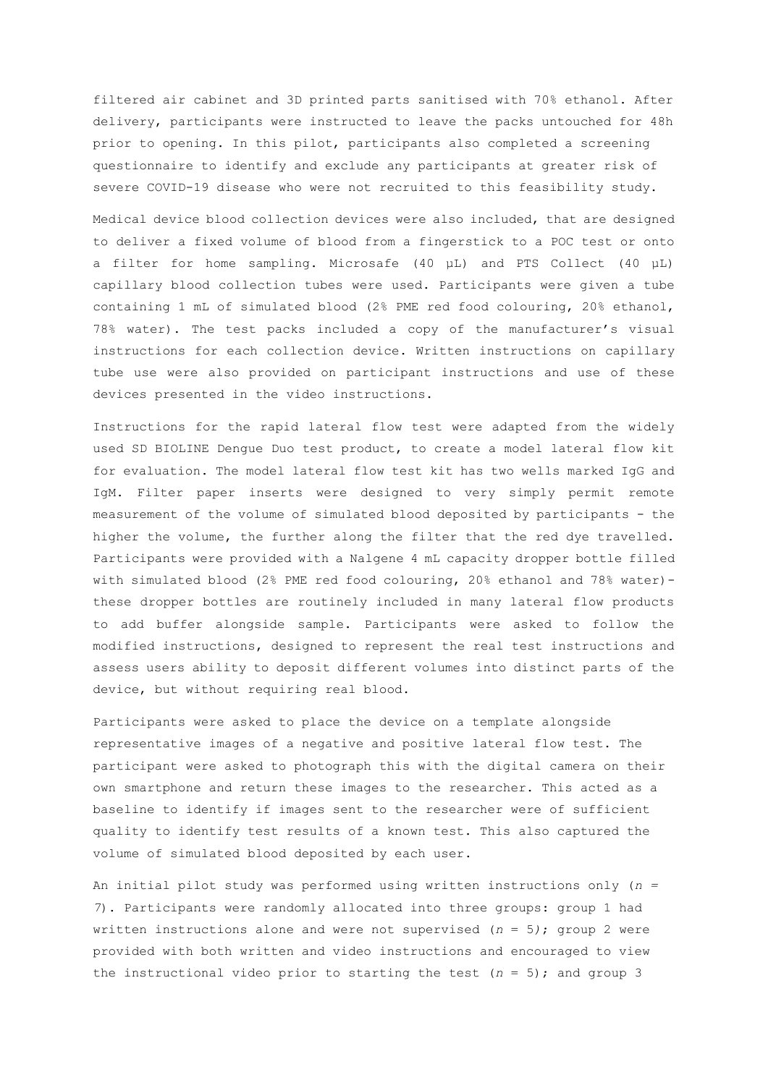filtered air cabinet and 3D printed parts sanitised with 70% ethanol. After delivery, participants were instructed to leave the packs untouched for 48h prior to opening. In this pilot, participants also completed a screening questionnaire to identify and exclude any participants at greater risk of severe COVID-19 disease who were not recruited to this feasibility study.

Medical device blood collection devices were also included, that are designed to deliver a fixed volume of blood from a fingerstick to a POC test or onto a filter for home sampling. Microsafe (40 µL) and PTS Collect (40 µL) capillary blood collection tubes were used. Participants were given a tube containing 1 mL of simulated blood (2% PME red food colouring, 20% ethanol, 78% water). The test packs included a copy of the manufacturer's visual instructions for each collection device. Written instructions on capillary tube use were also provided on participant instructions and use of these devices presented in the video instructions.

Instructions for the rapid lateral flow test were adapted from the widely used SD BIOLINE Dengue Duo test product, to create a model lateral flow kit for evaluation. The model lateral flow test kit has two wells marked IgG and IgM. Filter paper inserts were designed to very simply permit remote measurement of the volume of simulated blood deposited by participants - the higher the volume, the further along the filter that the red dye travelled. Participants were provided with a Nalgene 4 mL capacity dropper bottle filled with simulated blood (2% PME red food colouring, 20% ethanol and 78% water) these dropper bottles are routinely included in many lateral flow products to add buffer alongside sample. Participants were asked to follow the modified instructions, designed to represent the real test instructions and assess users ability to deposit different volumes into distinct parts of the device, but without requiring real blood.

Participants were asked to place the device on a template alongside representative images of a negative and positive lateral flow test. The participant were asked to photograph this with the digital camera on their own smartphone and return these images to the researcher. This acted as a baseline to identify if images sent to the researcher were of sufficient quality to identify test results of a known test. This also captured the volume of simulated blood deposited by each user.

An initial pilot study was performed using written instructions only (*n = 7*). Participants were randomly allocated into three groups: group 1 had written instructions alone and were not supervised (*n* = 5*)*; group 2 were provided with both written and video instructions and encouraged to view the instructional video prior to starting the test  $(n = 5)$ ; and group 3